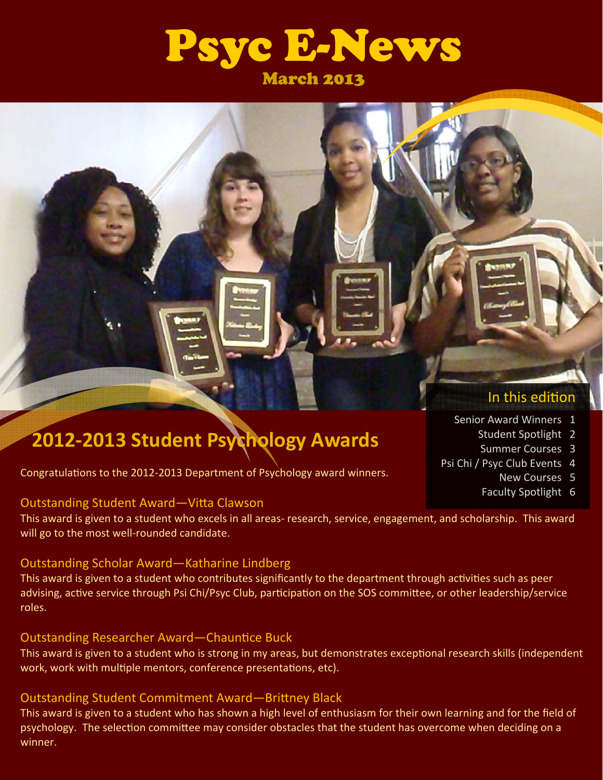

# **2012‐2013 Student Psychology Awards**

Congratulations to the 2012-2013 Department of Psychology award winners.

#### Outstanding Student Award-Vitta Clawson

This award is given to a student who excels in all areas‐ research, service, engagement, and scholarship. This award will go to the most well-rounded candidate.

#### Outstanding Scholar Award—Katharine Lindberg

This award is given to a student who contributes significantly to the department through activities such as peer advising, active service through Psi Chi/Psyc Club, participation on the SOS committee, or other leadership/service roles.

#### Outstanding Researcher Award—Chauntice Buck

This award is given to a student who is strong in my areas, but demonstrates exceptional research skills (independent work, work with multiple mentors, conference presentations, etc).

#### Outstanding Student Commitment Award—Brittney Black

This award is given to a student who has shown a high level of enthusiasm for their own learning and for the field of psychology. The selection committee may consider obstacles that the student has overcome when deciding on a winner.

### In this edition

- Senior Award Winners 1
	- Student Spotlight 2
	- Summer Courses 3
- Psi Chi / Psyc Club Events 4
	- New Courses 5
	- Faculty Spotlight 6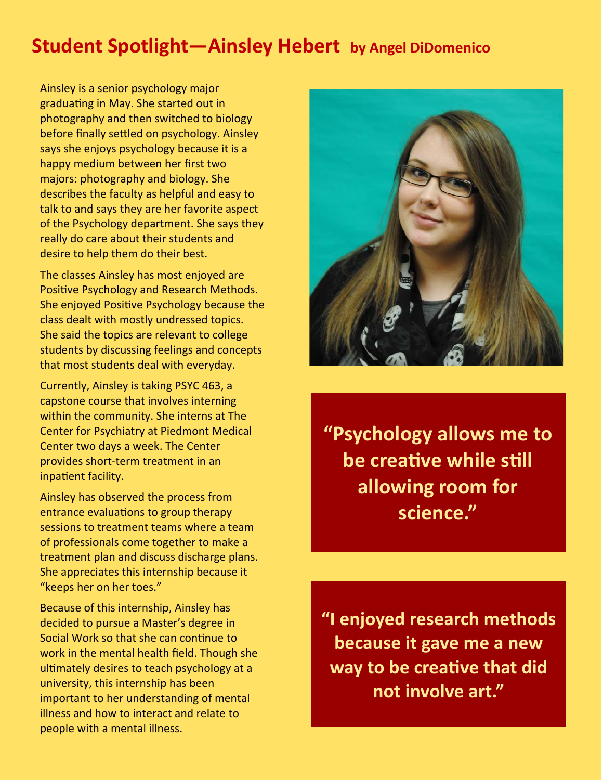## **Student Spotlight—Ainsley Hebert by Angel DiDomenico**

Ainsley is a senior psychology major graduating in May. She started out in photography and then switched to biology before finally settled on psychology. Ainsley says she enjoys psychology because it is a happy medium between her first two majors: photography and biology. She describes the faculty as helpful and easy to talk to and says they are her favorite aspect of the Psychology department. She says they really do care about their students and desire to help them do their best.

The classes Ainsley has most enjoyed are Positive Psychology and Research Methods. She enjoyed Positive Psychology because the class dealt with mostly undressed topics. She said the topics are relevant to college students by discussing feelings and concepts that most students deal with everyday.

Currently, Ainsley is taking PSYC 463, a capstone course that involves interning within the community. She interns at The Center for Psychiatry at Piedmont Medical Center two days a week. The Center provides short‐term treatment in an inpatient facility.

Ainsley has observed the process from entrance evaluations to group therapy sessions to treatment teams where a team of professionals come together to make a treatment plan and discuss discharge plans. She appreciates this internship because it "keeps her on her toes."

Because of this internship, Ainsley has decided to pursue a Master's degree in Social Work so that she can continue to work in the mental health field. Though she ultimately desires to teach psychology at a university, this internship has been important to her understanding of mental illness and how to interact and relate to people with a mental illness.



**"Psychology allows me to be creaƟve while sƟll allowing room for science."**

**"I enjoyed research methods because it gave me a new way to be creaƟve that did not involve art."**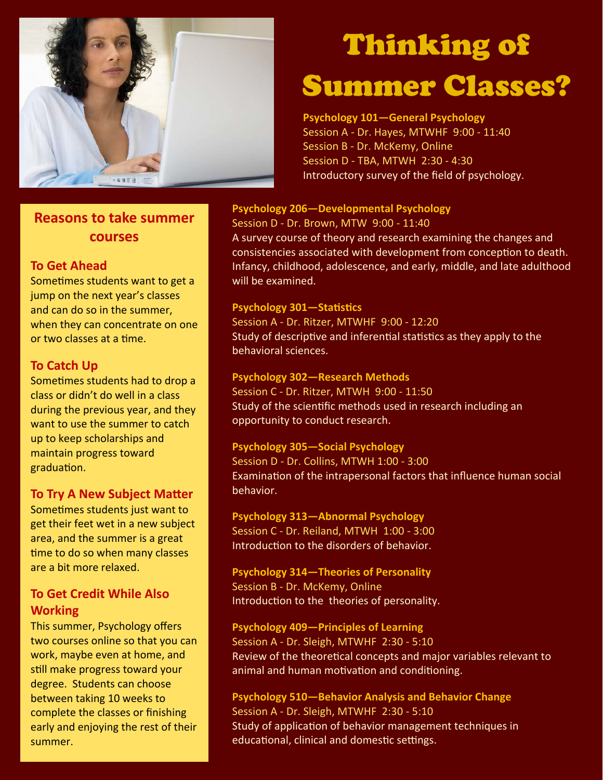

### **Reasons to take summer courses**

#### **To Get Ahead**

Sometimes students want to get a jump on the next year's classes and can do so in the summer, when they can concentrate on one or two classes at a time.

#### **To Catch Up**

Sometimes students had to drop a class or didn't do well in a class during the previous year, and they want to use the summer to catch up to keep scholarships and maintain progress toward graduation.

#### **To Try A New Subject Matter**

Sometimes students just want to get their feet wet in a new subject area, and the summer is a great time to do so when many classes are a bit more relaxed.

#### **To Get Credit While Also Working**

This summer, Psychology offers two courses online so that you can work, maybe even at home, and still make progress toward your degree. Students can choose between taking 10 weeks to complete the classes or finishing early and enjoying the rest of their summer.

# Thinking of

# Summer Classes?

#### **Psychology 101—General Psychology**

Session A - Dr. Hayes, MTWHF 9:00 - 11:40 Session B ‐ Dr. McKemy, Online Session D ‐ TBA, MTWH 2:30 ‐ 4:30 Introductory survey of the field of psychology.

#### **Psychology 206—Developmental Psychology**

Session D ‐ Dr. Brown, MTW 9:00 ‐ 11:40 A survey course of theory and research examining the changes and consistencies associated with development from conception to death. Infancy, childhood, adolescence, and early, middle, and late adulthood will be examined.

#### **Psychology 301–Statistics**

Session A ‐ Dr. Ritzer, MTWHF 9:00 ‐ 12:20 Study of descriptive and inferential statistics as they apply to the behavioral sciences.

#### **Psychology 302—Research Methods**

Session C ‐ Dr. Ritzer, MTWH 9:00 ‐ 11:50 Study of the scientific methods used in research including an opportunity to conduct research.

#### **Psychology 305—Social Psychology**

Session D ‐ Dr. Collins, MTWH 1:00 ‐ 3:00 Examination of the intrapersonal factors that influence human social behavior.

#### **Psychology 313—Abnormal Psychology**

Session C ‐ Dr. Reiland, MTWH 1:00 ‐ 3:00 Introduction to the disorders of behavior.

#### **Psychology 314—Theories of Personality** Session B ‐ Dr. McKemy, Online

Introduction to the theories of personality.

#### **Psychology 409—Principles of Learning**

Session A - Dr. Sleigh, MTWHF 2:30 - 5:10 Review of the theoretical concepts and major variables relevant to animal and human motivation and conditioning.

#### **Psychology 510—Behavior Analysis and Behavior Change** Session A ‐ Dr. Sleigh, MTWHF 2:30 ‐ 5:10 Study of application of behavior management techniques in educational, clinical and domestic settings.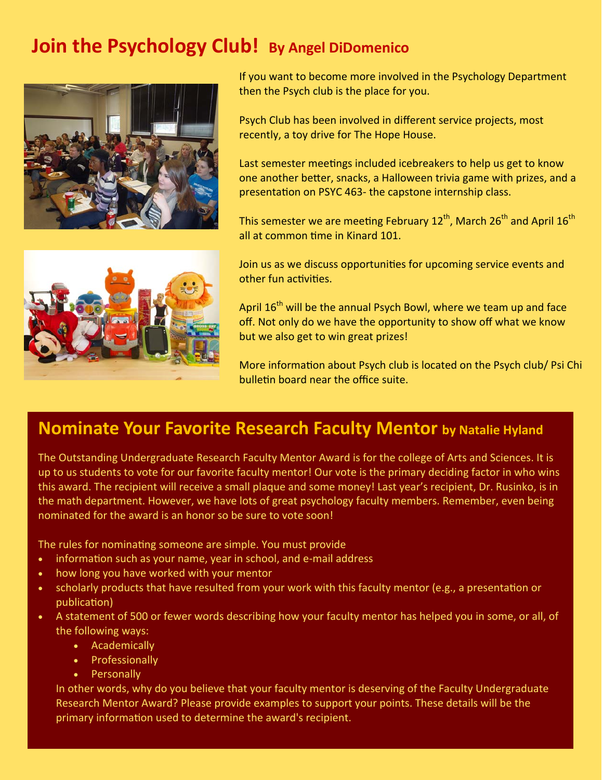## **Join the Psychology Club! By Angel DiDomenico**





If you want to become more involved in the Psychology Department then the Psych club is the place for you.

Psych Club has been involved in different service projects, most recently, a toy drive for The Hope House.

Last semester meetings included icebreakers to help us get to know one another better, snacks, a Halloween trivia game with prizes, and a presentation on PSYC 463- the capstone internship class.

This semester we are meeting February 12<sup>th</sup>, March 26<sup>th</sup> and April 16<sup>th</sup> all at common time in Kinard 101.

Join us as we discuss opportunities for upcoming service events and other fun activities.

April 16<sup>th</sup> will be the annual Psych Bowl, where we team up and face off. Not only do we have the opportunity to show off what we know but we also get to win great prizes!

More information about Psych club is located on the Psych club/ Psi Chi bulletin board near the office suite.

### **Nominate Your Favorite Research Faculty Mentor by Natalie Hyland**

The Outstanding Undergraduate Research Faculty Mentor Award is for the college of Arts and Sciences. It is up to us students to vote for our favorite faculty mentor! Our vote is the primary deciding factor in who wins this award. The recipient will receive a small plaque and some money! Last year's recipient, Dr. Rusinko, is in the math department. However, we have lots of great psychology faculty members. Remember, even being nominated for the award is an honor so be sure to vote soon!

The rules for nominating someone are simple. You must provide

- information such as your name, year in school, and e-mail address
- how long you have worked with your mentor
- scholarly products that have resulted from your work with this faculty mentor (e.g., a presentation or publication)
- A statement of 500 or fewer words describing how your faculty mentor has helped you in some, or all, of the following ways:
	- Academically
	- Professionally
	- Personally

In other words, why do you believe that your faculty mentor is deserving of the Faculty Undergraduate Research Mentor Award? Please provide examples to support your points. These details will be the primary information used to determine the award's recipient.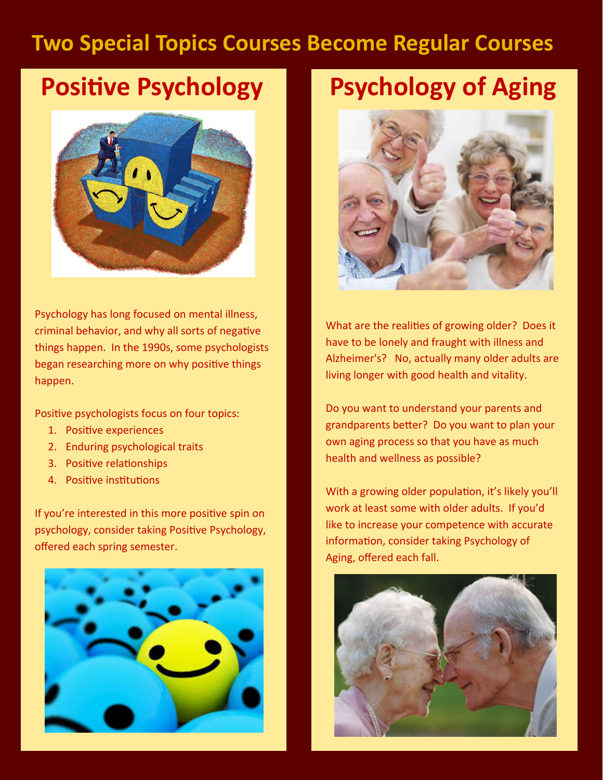# **Two Special Topics Courses Become Regular Courses**

# **Positive Psychology**



Psychology has long focused on mental illness, criminal behavior, and why all sorts of negative things happen. In the 1990s, some psychologists began researching more on why positive things happen.

Positive psychologists focus on four topics:

- 1. Positive experiences
- 2. Enduring psychological traits
- 3. Positive relationships
- 4. Positive institutions

If you're interested in this more positive spin on psychology, consider taking Positive Psychology, offered each spring semester.



# **Psychology of Aging**



What are the realities of growing older? Does it have to be lonely and fraught with illness and Alzheimer's? No, actually many older adults are living longer with good health and vitality.

Do you want to understand your parents and grandparents better? Do you want to plan your own aging process so that you have as much health and wellness as possible?

With a growing older population, it's likely you'll work at least some with older adults. If you'd like to increase your competence with accurate information, consider taking Psychology of Aging, offered each fall.